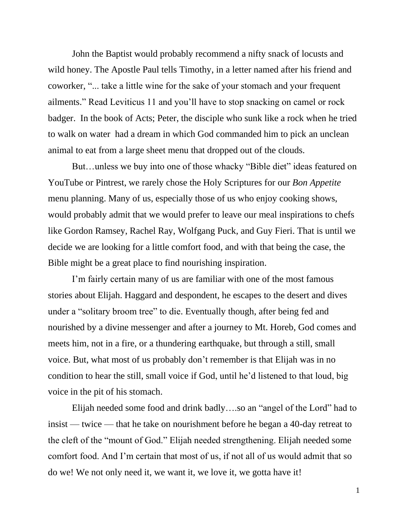John the Baptist would probably recommend a nifty snack of locusts and wild honey. The Apostle Paul tells Timothy, in a letter named after his friend and coworker, "... take a little wine for the sake of your stomach and your frequent ailments." Read Leviticus 11 and you'll have to stop snacking on camel or rock badger. In the book of Acts; Peter, the disciple who sunk like a rock when he tried to walk on water had a dream in which God commanded him to pick an unclean animal to eat from a large sheet menu that dropped out of the clouds.

But…unless we buy into one of those whacky "Bible diet" ideas featured on YouTube or Pintrest, we rarely chose the Holy Scriptures for our *Bon Appetite*  menu planning. Many of us, especially those of us who enjoy cooking shows, would probably admit that we would prefer to leave our meal inspirations to chefs like Gordon Ramsey, Rachel Ray, Wolfgang Puck, and Guy Fieri. That is until we decide we are looking for a little comfort food, and with that being the case, the Bible might be a great place to find nourishing inspiration.

I'm fairly certain many of us are familiar with one of the most famous stories about Elijah. Haggard and despondent, he escapes to the desert and dives under a "solitary broom tree" to die. Eventually though, after being fed and nourished by a divine messenger and after a journey to Mt. Horeb, God comes and meets him, not in a fire, or a thundering earthquake, but through a still, small voice. But, what most of us probably don't remember is that Elijah was in no condition to hear the still, small voice if God, until he'd listened to that loud, big voice in the pit of his stomach.

Elijah needed some food and drink badly….so an "angel of the Lord" had to insist — twice — that he take on nourishment before he began a 40-day retreat to the cleft of the "mount of God." Elijah needed strengthening. Elijah needed some comfort food. And I'm certain that most of us, if not all of us would admit that so do we! We not only need it, we want it, we love it, we gotta have it!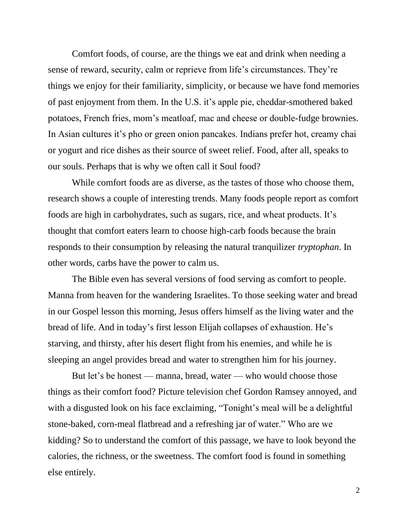Comfort foods, of course, are the things we eat and drink when needing a sense of reward, security, calm or reprieve from life's circumstances. They're things we enjoy for their familiarity, simplicity, or because we have fond memories of past enjoyment from them. In the U.S. it's apple pie, cheddar-smothered baked potatoes, French fries, mom's meatloaf, mac and cheese or double-fudge brownies. In Asian cultures it's pho or green onion pancakes. Indians prefer hot, creamy chai or yogurt and rice dishes as their source of sweet relief. Food, after all, speaks to our souls. Perhaps that is why we often call it Soul food?

While comfort foods are as diverse, as the tastes of those who choose them, research shows a couple of interesting trends. Many foods people report as comfort foods are high in carbohydrates, such as sugars, rice, and wheat products. It's thought that comfort eaters learn to choose high-carb foods because the brain responds to their consumption by releasing the natural tranquilizer *tryptophan*. In other words, carbs have the power to calm us.

The Bible even has several versions of food serving as comfort to people. Manna from heaven for the wandering Israelites. To those seeking water and bread in our Gospel lesson this morning, Jesus offers himself as the living water and the bread of life. And in today's first lesson Elijah collapses of exhaustion. He's starving, and thirsty, after his desert flight from his enemies, and while he is sleeping an angel provides bread and water to strengthen him for his journey.

But let's be honest — manna, bread, water — who would choose those things as their comfort food? Picture television chef Gordon Ramsey annoyed, and with a disgusted look on his face exclaiming, "Tonight's meal will be a delightful stone-baked, corn-meal flatbread and a refreshing jar of water." Who are we kidding? So to understand the comfort of this passage, we have to look beyond the calories, the richness, or the sweetness. The comfort food is found in something else entirely.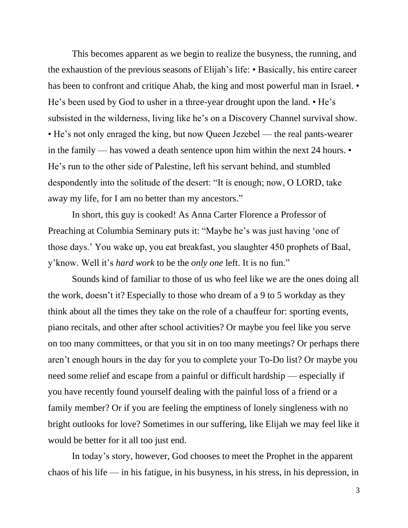This becomes apparent as we begin to realize the busyness, the running, and the exhaustion of the previous seasons of Elijah's life: • Basically, his entire career has been to confront and critique Ahab, the king and most powerful man in Israel. • He's been used by God to usher in a three-year drought upon the land. • He's subsisted in the wilderness, living like he's on a Discovery Channel survival show. • He's not only enraged the king, but now Queen Jezebel — the real pants-wearer in the family — has vowed a death sentence upon him within the next 24 hours. • He's run to the other side of Palestine, left his servant behind, and stumbled despondently into the solitude of the desert: "It is enough; now, O LORD, take away my life, for I am no better than my ancestors."

In short, this guy is cooked! As Anna Carter Florence a Professor of Preaching at Columbia Seminary puts it: "Maybe he's was just having 'one of those days.' You wake up, you eat breakfast, you slaughter 450 prophets of Baal, y'know. Well it's *hard work* to be the *only one* left. It is no fun."

Sounds kind of familiar to those of us who feel like we are the ones doing all the work, doesn't it? Especially to those who dream of a 9 to 5 workday as they think about all the times they take on the role of a chauffeur for: sporting events, piano recitals, and other after school activities? Or maybe you feel like you serve on too many committees, or that you sit in on too many meetings? Or perhaps there aren't enough hours in the day for you to complete your To-Do list? Or maybe you need some relief and escape from a painful or difficult hardship — especially if you have recently found yourself dealing with the painful loss of a friend or a family member? Or if you are feeling the emptiness of lonely singleness with no bright outlooks for love? Sometimes in our suffering, like Elijah we may feel like it would be better for it all too just end.

In today's story, however, God chooses to meet the Prophet in the apparent chaos of his life — in his fatigue, in his busyness, in his stress, in his depression, in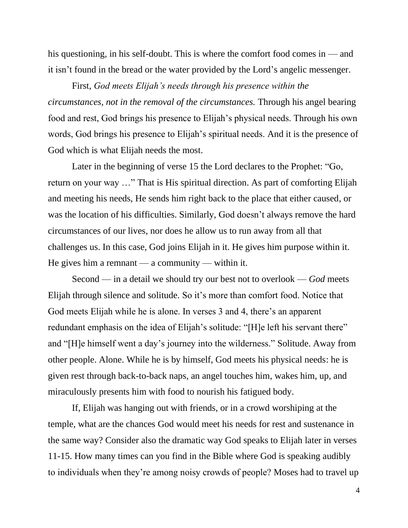his questioning, in his self-doubt. This is where the comfort food comes in — and it isn't found in the bread or the water provided by the Lord's angelic messenger.

First, *God meets Elijah's needs through his presence within the circumstances, not in the removal of the circumstances.* Through his angel bearing food and rest, God brings his presence to Elijah's physical needs. Through his own words, God brings his presence to Elijah's spiritual needs. And it is the presence of God which is what Elijah needs the most.

Later in the beginning of verse 15 the Lord declares to the Prophet: "Go, return on your way …" That is His spiritual direction. As part of comforting Elijah and meeting his needs, He sends him right back to the place that either caused, or was the location of his difficulties. Similarly, God doesn't always remove the hard circumstances of our lives, nor does he allow us to run away from all that challenges us. In this case, God joins Elijah in it. He gives him purpose within it. He gives him a remnant — a community — within it.

Second — in a detail we should try our best not to overlook — *God* meets Elijah through silence and solitude*.* So it's more than comfort food. Notice that God meets Elijah while he is alone. In verses 3 and 4, there's an apparent redundant emphasis on the idea of Elijah's solitude: "[H]e left his servant there" and "[H]e himself went a day's journey into the wilderness." Solitude. Away from other people. Alone. While he is by himself, God meets his physical needs: he is given rest through back-to-back naps, an angel touches him, wakes him, up, and miraculously presents him with food to nourish his fatigued body.

If, Elijah was hanging out with friends, or in a crowd worshiping at the temple, what are the chances God would meet his needs for rest and sustenance in the same way? Consider also the dramatic way God speaks to Elijah later in verses 11-15. How many times can you find in the Bible where God is speaking audibly to individuals when they're among noisy crowds of people? Moses had to travel up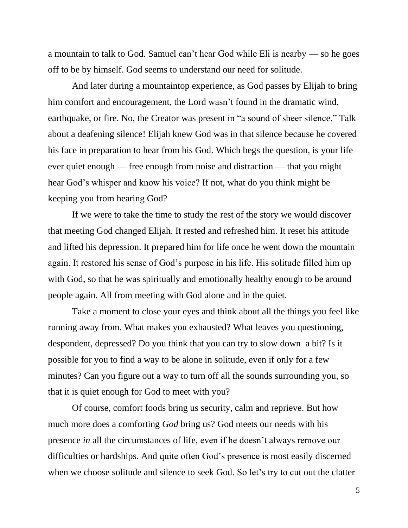a mountain to talk to God. Samuel can't hear God while Eli is nearby — so he goes off to be by himself. God seems to understand our need for solitude.

And later during a mountaintop experience, as God passes by Elijah to bring him comfort and encouragement, the Lord wasn't found in the dramatic wind, earthquake, or fire. No, the Creator was present in "a sound of sheer silence." Talk about a deafening silence! Elijah knew God was in that silence because he covered his face in preparation to hear from his God. Which begs the question, is your life ever quiet enough — free enough from noise and distraction — that you might hear God's whisper and know his voice? If not, what do you think might be keeping you from hearing God?

If we were to take the time to study the rest of the story we would discover that meeting God changed Elijah. It rested and refreshed him. It reset his attitude and lifted his depression. It prepared him for life once he went down the mountain again. It restored his sense of God's purpose in his life. His solitude filled him up with God, so that he was spiritually and emotionally healthy enough to be around people again. All from meeting with God alone and in the quiet.

Take a moment to close your eyes and think about all the things you feel like running away from. What makes you exhausted? What leaves you questioning, despondent, depressed? Do you think that you can try to slow down a bit? Is it possible for you to find a way to be alone in solitude, even if only for a few minutes? Can you figure out a way to turn off all the sounds surrounding you, so that it is quiet enough for God to meet with you?

Of course, comfort foods bring us security, calm and reprieve. But how much more does a comforting *God* bring us? God meets our needs with his presence *in* all the circumstances of life, even if he doesn't always remove our difficulties or hardships. And quite often God's presence is most easily discerned when we choose solitude and silence to seek God. So let's try to cut out the clatter